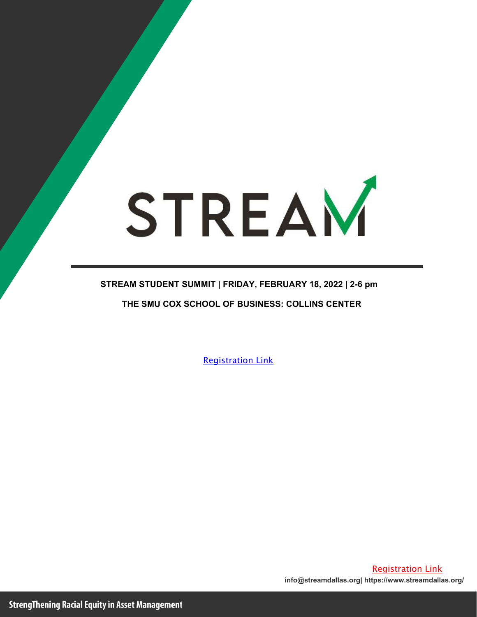# STREAM

### **STREAM STUDENT SUMMIT | FRIDAY, FEBRUARY 18, 2022 | 2-6 pm THE SMU COX SCHOOL OF BUSINESS: COLLINS CENTER**

[Registration Link](https://streamfoundation.forms-db.com/view.php?id=20681)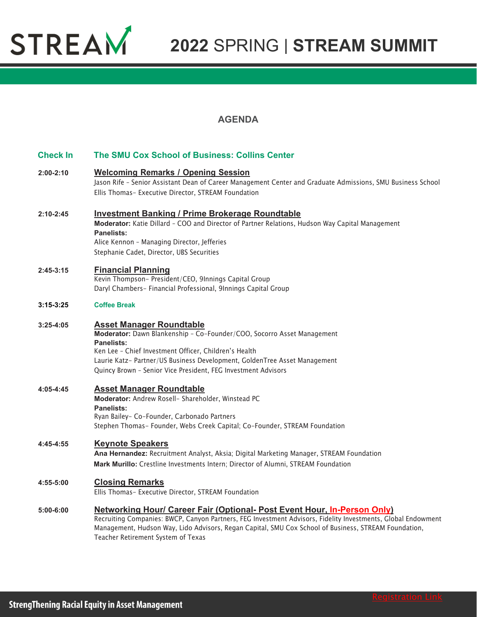

#### **AGENDA**

| <b>Check In</b> | The SMU Cox School of Business: Collins Center                                                                                                                                                                                                                                                                                         |
|-----------------|----------------------------------------------------------------------------------------------------------------------------------------------------------------------------------------------------------------------------------------------------------------------------------------------------------------------------------------|
| $2:00 - 2:10$   | <b>Welcoming Remarks / Opening Session</b><br>Jason Rife - Senior Assistant Dean of Career Management Center and Graduate Admissions, SMU Business School<br>Ellis Thomas- Executive Director, STREAM Foundation                                                                                                                       |
| $2:10-2:45$     | <b>Investment Banking / Prime Brokerage Roundtable</b><br>Moderator: Katie Dillard - COO and Director of Partner Relations, Hudson Way Capital Management<br>Panelists:<br>Alice Kennon - Managing Director, Jefferies<br>Stephanie Cadet, Director, UBS Securities                                                                    |
| $2:45-3:15$     | <b>Financial Planning</b><br>Kevin Thompson- President/CEO, 9Innings Capital Group<br>Daryl Chambers- Financial Professional, 9Innings Capital Group                                                                                                                                                                                   |
| $3:15-3:25$     | <b>Coffee Break</b>                                                                                                                                                                                                                                                                                                                    |
| $3:25 - 4:05$   | <b>Asset Manager Roundtable</b><br>Moderator: Dawn Blankenship - Co-Founder/COO, Socorro Asset Management<br>Panelists:<br>Ken Lee - Chief Investment Officer, Children's Health<br>Laurie Katz- Partner/US Business Development, GoldenTree Asset Management<br>Quincy Brown - Senior Vice President, FEG Investment Advisors         |
| 4:05-4:45       | <b>Asset Manager Roundtable</b><br>Moderator: Andrew Rosell- Shareholder, Winstead PC<br><b>Panelists:</b><br>Ryan Bailey- Co-Founder, Carbonado Partners<br>Stephen Thomas- Founder, Webs Creek Capital; Co-Founder, STREAM Foundation                                                                                                |
| $4:45 - 4:55$   | <b>Keynote Speakers</b><br>Ana Hernandez: Recruitment Analyst, Aksia; Digital Marketing Manager, STREAM Foundation<br>Mark Murillo: Crestline Investments Intern; Director of Alumni, STREAM Foundation                                                                                                                                |
| 4:55-5:00       | <b>Closing Remarks</b><br>Ellis Thomas- Executive Director, STREAM Foundation                                                                                                                                                                                                                                                          |
| $5:00 - 6:00$   | Networking Hour/ Career Fair (Optional- Post Event Hour, In-Person Only)<br>Recruiting Companies: BWCP, Canyon Partners, FEG Investment Advisors, Fidelity Investments, Global Endowment<br>Management, Hudson Way, Lido Advisors, Regan Capital, SMU Cox School of Business, STREAM Foundation,<br>Teacher Retirement System of Texas |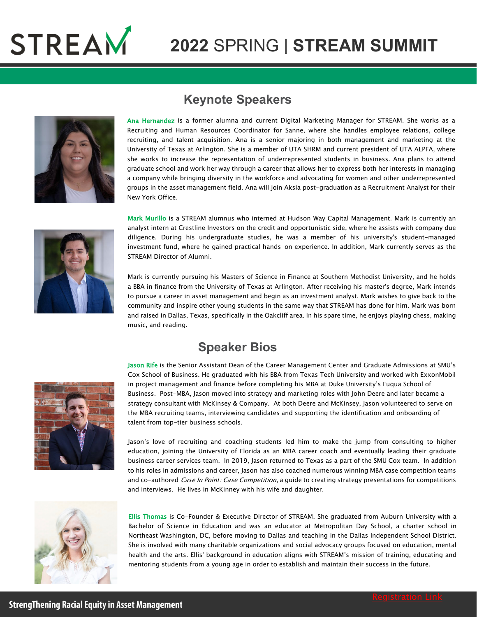



#### **Keynote Speakers**

Ana Hernandez is a former alumna and current Digital Marketing Manager for STREAM. She works as a Recruiting and Human Resources Coordinator for Sanne, where she handles employee relations, college recruiting, and talent acquisition. Ana is a senior majoring in both management and marketing at the University of Texas at Arlington. She is a member of [UTA SHRM](https://www.linkedin.com/company/utashrm/) and current president of [UTA ALPFA,](https://www.linkedin.com/in/ACoAABivypEBNJHoRvaMAbwaqMDFK-Bg5RPzlMU) where she works to increase the representation of underrepresented students in business. Ana plans to attend graduate school and work her way through a career that allows her to express both her interests in managing a company while bringing diversity in the workforce and advocating for women and other underrepresented groups in the asset management field. Ana will join Aksia post-graduation as a Recruitment Analyst for their New York Office.



Mark Murillo is a STREAM alumnus who interned at Hudson Way Capital Management. Mark is currently an analyst intern at Crestline Investors on the credit and opportunistic side, where he assists with company due diligence. During his undergraduate studies, he was a member of his university's student-managed investment fund, where he gained practical hands-on experience. In addition, Mark currently serves as the STREAM Director of Alumni.

Mark is currently pursuing his Masters of Science in Finance at Southern Methodist University, and he holds a BBA in finance from the University of Texas at Arlington. After receiving his master's degree, Mark intends to pursue a career in asset management and begin as an investment analyst. Mark wishes to give back to the community and inspire other young students in the same way that STREAM has done for him. Mark was born and raised in Dallas, Texas, specifically in the Oakcliff area. In his spare time, he enjoys playing chess, making music, and reading.

#### **Speaker Bios**



Jason Rife is the Senior Assistant Dean of the Career Management Center and Graduate Admissions at SMU's Cox School of Business. He graduated with his BBA from Texas Tech University and worked with ExxonMobil in project management and finance before completing his MBA at Duke University's Fuqua School of Business. Post-MBA, Jason moved into strategy and marketing roles with John Deere and later became a strategy consultant with McKinsey & Company. At both Deere and McKinsey, Jason volunteered to serve on the MBA recruiting teams, interviewing candidates and supporting the identification and onboarding of talent from top-tier business schools.

Jason's love of recruiting and coaching students led him to make the jump from consulting to higher education, joining the University of Florida as an MBA career coach and eventually leading their graduate business career services team. In 2019, Jason returned to Texas as a part of the SMU Cox team. In addition to his roles in admissions and career, Jason has also coached numerous winning MBA case competition teams and co-authored Case In Point: Case Competition, a guide to creating strategy presentations for competitions and interviews. He lives in McKinney with his wife and daughter.



Ellis Thomas is Co-Founder & Executive Director of STREAM. She graduated from Auburn University with a Bachelor of Science in Education and was an educator at Metropolitan Day School, a charter school in Northeast Washington, DC, before moving to Dallas and teaching in the Dallas Independent School District. She is involved with many charitable organizations and social advocacy groups focused on education, mental health and the arts. Ellis' background in education aligns with STREAM's mission of training, educating and mentoring students from a young age in order to establish and maintain their success in the future.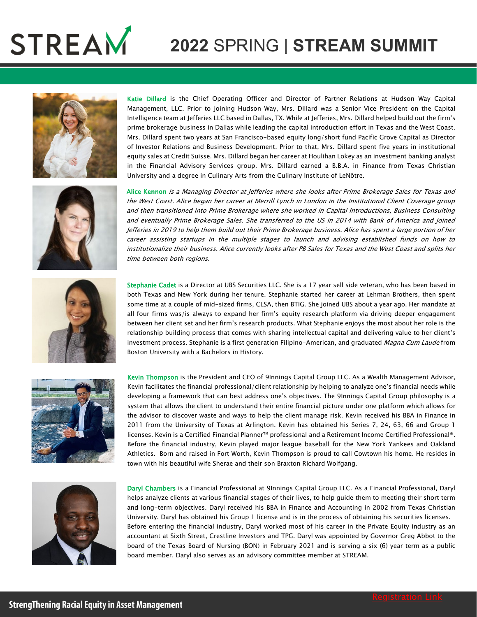





Katie Dillard is the Chief Operating Officer and Director of Partner Relations at Hudson Way Capital Management, LLC. Prior to joining Hudson Way, Mrs. Dillard was a Senior Vice President on the Capital Intelligence team at Jefferies LLC based in Dallas, TX. While at Jefferies, Mrs. Dillard helped build out the firm's prime brokerage business in Dallas while leading the capital introduction effort in Texas and the West Coast. Mrs. Dillard spent two years at San Francisco-based equity long/short fund Pacific Grove Capital as Director of Investor Relations and Business Development. Prior to that, Mrs. Dillard spent five years in institutional equity sales at Credit Suisse. Mrs. Dillard began her career at Houlihan Lokey as an investment banking analyst in the Financial Advisory Services group. Mrs. Dillard earned a B.B.A. in Finance from Texas Christian University and a degree in Culinary Arts from the Culinary Institute of LeNôtre.

Alice Kennon is a Managing Director at Jefferies where she looks after Prime Brokerage Sales for Texas and the West Coast. Alice began her career at Merrill Lynch in London in the Institutional Client Coverage group and then transitioned into Prime Brokerage where she worked in Capital Introductions, Business Consulting and eventually Prime Brokerage Sales. She transferred to the US in 2014 with Bank of America and joined Jefferies in 2019 to help them build out their Prime Brokerage business. Alice has spent a large portion of her career assisting startups in the multiple stages to launch and advising established funds on how to institutionalize their business. Alice currently looks after PB Sales for Texas and the West Coast and splits her time between both regions.



Stephanie Cadet is a Director at UBS Securities LLC. She is a 17 year sell side veteran, who has been based in both Texas and New York during her tenure. Stephanie started her career at Lehman Brothers, then spent some time at a couple of mid-sized firms, CLSA, then BTIG. She joined UBS about a year ago. Her mandate at all four firms was/is always to expand her firm's equity research platform via driving deeper engagement between her client set and her firm's research products. What Stephanie enjoys the most about her role is the relationship building process that comes with sharing intellectual capital and delivering value to her client's investment process. Stephanie is a first generation Filipino-American, and graduated Magna Cum Laude from Boston University with a Bachelors in History.



Kevin Thompson is the President and CEO of 9Innings Capital Group LLC. As a Wealth Management Advisor, Kevin facilitates the financial professional/client relationship by helping to analyze one's financial needs while developing a framework that can best address one's objectives. The 9Innings Capital Group philosophy is a system that allows the client to understand their entire financial picture under one platform which allows for the advisor to discover waste and ways to help the client manage risk. Kevin received his BBA in Finance in 2011 from the University of Texas at Arlington. Kevin has obtained his Series 7, 24, 63, 66 and Group 1 licenses. Kevin is a Certified Financial Planner™ professional and a Retirement Income Certified Professional®. Before the financial industry, Kevin played major league baseball for the New York Yankees and Oakland Athletics. Born and raised in Fort Worth, Kevin Thompson is proud to call Cowtown his home. He resides in town with his beautiful wife Sherae and their son Braxton Richard Wolfgang.



Daryl Chambers is a Financial Professional at 9Innings Capital Group LLC. As a Financial Professional, Daryl helps analyze clients at various financial stages of their lives, to help guide them to meeting their short term and long-term objectives. Daryl received his BBA in Finance and Accounting in 2002 from Texas Christian University. Daryl has obtained his Group 1 license and is in the process of obtaining his securities licenses. Before entering the financial industry, Daryl worked most of his career in the Private Equity industry as an accountant at Sixth Street, Crestline Investors and TPG. Daryl was appointed by Governor Greg Abbot to the board of the Texas Board of Nursing (BON) in February 2021 and is serving a six (6) year term as a public board member. Daryl also serves as an advisory committee member at STREAM.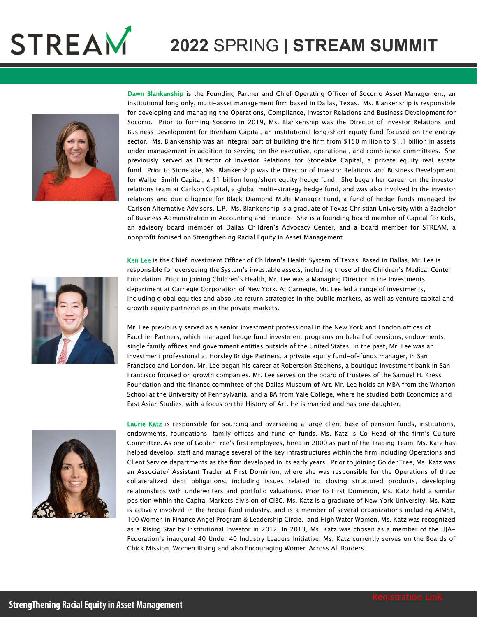



Dawn Blankenship is the Founding Partner and Chief Operating Officer of Socorro Asset Management, an institutional long only, multi-asset management firm based in Dallas, Texas. Ms. Blankenship is responsible for developing and managing the Operations, Compliance, Investor Relations and Business Development for Socorro. Prior to forming Socorro in 2019, Ms. Blankenship was the Director of Investor Relations and Business Development for Brenham Capital, an institutional long/short equity fund focused on the energy sector. Ms. Blankenship was an integral part of building the firm from \$150 million to \$1.1 billion in assets under management in addition to serving on the executive, operational, and compliance committees. She previously served as Director of Investor Relations for Stonelake Capital, a private equity real estate fund. Prior to Stonelake, Ms. Blankenship was the Director of Investor Relations and Business Development for Walker Smith Capital, a \$1 billion long/short equity hedge fund. She began her career on the investor relations team at Carlson Capital, a global multi-strategy hedge fund, and was also involved in the investor relations and due diligence for Black Diamond Multi-Manager Fund, a fund of hedge funds managed by Carlson Alternative Advisors, L.P. Ms. Blankenship is a graduate of Texas Christian University with a Bachelor of Business Administration in Accounting and Finance. She is a founding board member of Capital for Kids, an advisory board member of Dallas Children's Advocacy Center, and a board member for STREAM, a nonprofit focused on Strengthening Racial Equity in Asset Management.



Ken Lee is the Chief Investment Officer of Children's Health System of Texas. Based in Dallas, Mr. Lee is responsible for overseeing the System's investable assets, including those of the Children's Medical Center Foundation. Prior to joining Children's Health, Mr. Lee was a Managing Director in the Investments department at Carnegie Corporation of New York. At Carnegie, Mr. Lee led a range of investments, including global equities and absolute return strategies in the public markets, as well as venture capital and growth equity partnerships in the private markets.

Mr. Lee previously served as a senior investment professional in the New York and London offices of Fauchier Partners, which managed hedge fund investment programs on behalf of pensions, endowments, single family offices and government entities outside of the United States. In the past, Mr. Lee was an investment professional at Horsley Bridge Partners, a private equity fund-of-funds manager, in San Francisco and London. Mr. Lee began his career at Robertson Stephens, a boutique investment bank in San Francisco focused on growth companies. Mr. Lee serves on the board of trustees of the Samuel H. Kress Foundation and the finance committee of the Dallas Museum of Art. Mr. Lee holds an MBA from the Wharton School at the University of Pennsylvania, and a BA from Yale College, where he studied both Economics and East Asian Studies, with a focus on the History of Art. He is married and has one daughter.



Laurie Katz is responsible for sourcing and overseeing a large client base of pension funds, institutions, endowments, foundations, family offices and fund of funds. Ms. Katz is Co-Head of the firm's Culture Committee. As one of GoldenTree's first employees, hired in 2000 as part of the Trading Team, Ms. Katz has helped develop, staff and manage several of the key infrastructures within the firm including Operations and Client Service departments as the firm developed in its early years. Prior to joining GoldenTree, Ms. Katz was an Associate/ Assistant Trader at First Dominion, where she was responsible for the Operations of three collateralized debt obligations, including issues related to closing structured products, developing relationships with underwriters and portfolio valuations. Prior to First Dominion, Ms. Katz held a similar position within the Capital Markets division of CIBC. Ms. Katz is a graduate of New York University. Ms. Katz is actively involved in the hedge fund industry, and is a member of several organizations including AIMSE, 100 Women in Finance Angel Program & Leadership Circle, and High Water Women. Ms. Katz was recognized as a Rising Star by Institutional Investor in 2012. In 2013, Ms. Katz was chosen as a member of the UJA-Federation's inaugural 40 Under 40 Industry Leaders Initiative. Ms. Katz currently serves on the Boards of Chick Mission, Women Rising and also Encouraging Women Across All Borders.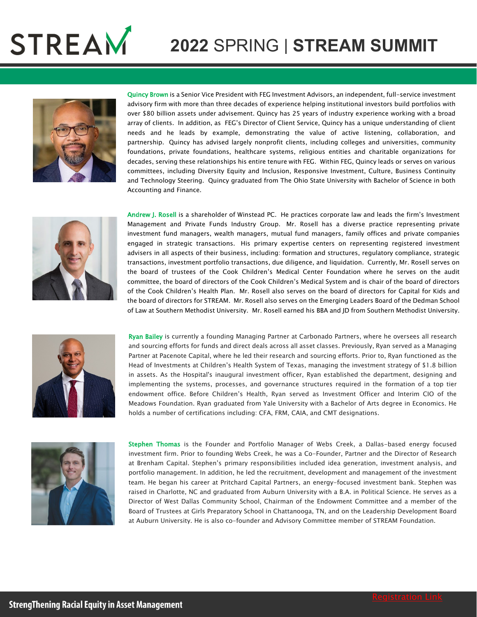



Quincy Brown is a Senior Vice President with FEG Investment Advisors, an independent, full-service investment advisory firm with more than three decades of experience helping institutional investors build portfolios with over \$80 billion assets under advisement. Quincy has 25 years of industry experience working with a broad array of clients. In addition, as FEG's Director of Client Service, Quincy has a unique understanding of client needs and he leads by example, demonstrating the value of active listening, collaboration, and partnership. Quincy has advised largely nonprofit clients, including colleges and universities, community foundations, private foundations, healthcare systems, religious entities and charitable organizations for decades, serving these relationships his entire tenure with FEG. Within FEG, Quincy leads or serves on various committees, including Diversity Equity and Inclusion, Responsive Investment, Culture, Business Continuity and Technology Steering. Quincy graduated from The Ohio State University with Bachelor of Science in both Accounting and Finance.



Andrew J. Rosell is a shareholder of Winstead PC. He practices corporate law and leads the firm's Investment Management and Private Funds Industry Group. Mr. Rosell has a diverse practice representing private investment fund managers, wealth managers, mutual fund managers, family offices and private companies engaged in strategic transactions. His primary expertise centers on representing registered investment advisers in all aspects of their business, including: formation and structures, regulatory compliance, strategic transactions, investment portfolio transactions, due diligence, and liquidation. Currently, Mr. Rosell serves on the board of trustees of the Cook Children's Medical Center Foundation where he serves on the audit committee, the board of directors of the Cook Children's Medical System and is chair of the board of directors of the Cook Children's Health Plan. Mr. Rosell also serves on the board of directors for Capital for Kids and the board of directors for STREAM. Mr. Rosell also serves on the Emerging Leaders Board of the Dedman School of Law at Southern Methodist University. Mr. Rosell earned his BBA and JD from Southern Methodist University.



Ryan Bailey is currently a founding Managing Partner at Carbonado Partners, where he oversees all research and sourcing efforts for funds and direct deals across all asset classes. Previously, Ryan served as a Managing Partner at Pacenote Capital, where he led their research and sourcing efforts. Prior to, Ryan functioned as the Head of Investments at Children's Health System of Texas, managing the investment strategy of \$1.8 billion in assets. As the Hospital's inaugural investment officer, Ryan established the department, designing and implementing the systems, processes, and governance structures required in the formation of a top tier endowment office. Before Children's Health, Ryan served as Investment Officer and Interim CIO of the Meadows Foundation. Ryan graduated from Yale University with a Bachelor of Arts degree in Economics. He holds a number of certifications including: CFA, FRM, CAIA, and CMT designations.



Stephen Thomas is the Founder and Portfolio Manager of Webs Creek, a Dallas-based energy focused investment firm. Prior to founding Webs Creek, he was a Co-Founder, Partner and the Director of Research at Brenham Capital. Stephen's primary responsibilities included idea generation, investment analysis, and portfolio management. In addition, he led the recruitment, development and management of the investment team. He began his career at Pritchard Capital Partners, an energy-focused investment bank. Stephen was raised in Charlotte, NC and graduated from Auburn University with a B.A. in Political Science. He serves as a Director of West Dallas Community School, Chairman of the Endowment Committee and a member of the Board of Trustees at Girls Preparatory School in Chattanooga, TN, and on the Leadership Development Board at Auburn University. He is also co-founder and Advisory Committee member of STREAM Foundation.